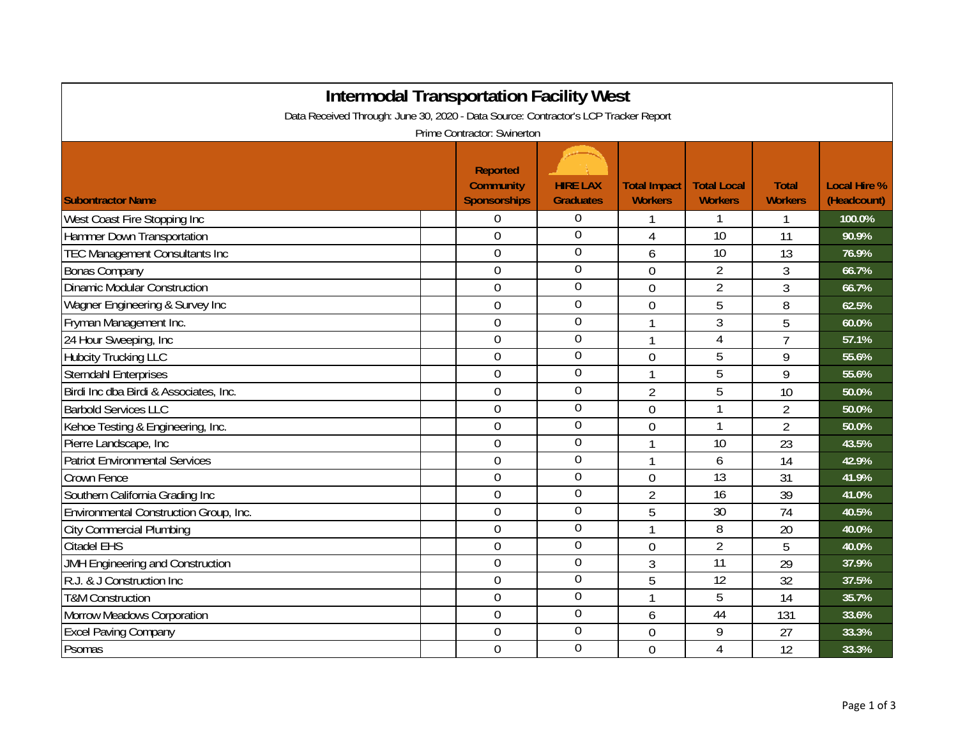| <b>Intermodal Transportation Facility West</b>                                                                     |                                                     |                                     |                                       |                                      |                                |                                    |  |  |  |
|--------------------------------------------------------------------------------------------------------------------|-----------------------------------------------------|-------------------------------------|---------------------------------------|--------------------------------------|--------------------------------|------------------------------------|--|--|--|
| Data Received Through: June 30, 2020 - Data Source: Contractor's LCP Tracker Report<br>Prime Contractor: Swinerton |                                                     |                                     |                                       |                                      |                                |                                    |  |  |  |
| <b>Subontractor Name</b>                                                                                           | <b>Reported</b><br><b>Community</b><br>Sponsorships | <b>HIRE LAX</b><br><b>Graduates</b> | <b>Total Impact</b><br><b>Workers</b> | <b>Total Local</b><br><b>Workers</b> | <b>Total</b><br><b>Workers</b> | <b>Local Hire %</b><br>(Headcount) |  |  |  |
| West Coast Fire Stopping Inc                                                                                       | 0                                                   | $\Omega$                            |                                       | 1                                    | 1                              | 100.0%                             |  |  |  |
| Hammer Down Transportation                                                                                         | $\overline{0}$                                      | $\overline{0}$                      | 4                                     | $\overline{10}$                      | 11                             | 90.9%                              |  |  |  |
| <b>TEC Management Consultants Inc</b>                                                                              | $\boldsymbol{0}$                                    | $\overline{0}$                      | 6                                     | 10                                   | 13                             | 76.9%                              |  |  |  |
| <b>Bonas Company</b>                                                                                               | $\mathbf 0$                                         | $\overline{0}$                      | 0                                     | $\overline{2}$                       | 3                              | 66.7%                              |  |  |  |
| <b>Dinamic Modular Construction</b>                                                                                | $\boldsymbol{0}$                                    | $\boldsymbol{0}$                    | 0                                     | $\overline{2}$                       | $\overline{3}$                 | 66.7%                              |  |  |  |
| Wagner Engineering & Survey Inc                                                                                    | $\overline{0}$                                      | $\mathbf 0$                         | $\overline{0}$                        | 5                                    | 8                              | 62.5%                              |  |  |  |
| Fryman Management Inc.                                                                                             | $\mathbf 0$                                         | $\overline{0}$                      | $\mathbf{1}$                          | 3                                    | 5                              | 60.0%                              |  |  |  |
| 24 Hour Sweeping, Inc                                                                                              | 0                                                   | $\overline{0}$                      | 1                                     | $\overline{4}$                       | $\overline{7}$                 | 57.1%                              |  |  |  |
| <b>Hubcity Trucking LLC</b>                                                                                        | $\mathbf 0$                                         | $\boldsymbol{0}$                    | 0                                     | 5                                    | 9                              | 55.6%                              |  |  |  |
| Sterndahl Enterprises                                                                                              | $\overline{0}$                                      | $\boldsymbol{0}$                    | $\mathbf{1}$                          | 5                                    | 9                              | 55.6%                              |  |  |  |
| Birdi Inc dba Birdi & Associates, Inc.                                                                             | $\mathbf 0$                                         | $\overline{0}$                      | $\overline{2}$                        | 5                                    | 10                             | 50.0%                              |  |  |  |
| <b>Barbold Services LLC</b>                                                                                        | $\overline{0}$                                      | $\overline{0}$                      | 0                                     | 1                                    | $\overline{2}$                 | 50.0%                              |  |  |  |
| Kehoe Testing & Engineering, Inc.                                                                                  | $\boldsymbol{0}$                                    | $\boldsymbol{0}$                    | 0                                     | 1                                    | $\overline{2}$                 | 50.0%                              |  |  |  |
| Pierre Landscape, Inc                                                                                              | $\overline{0}$                                      | $\boldsymbol{0}$                    | 1                                     | 10                                   | 23                             | 43.5%                              |  |  |  |
| Patriot Environmental Services                                                                                     | $\overline{0}$                                      | $\overline{0}$                      | 1                                     | 6                                    | 14                             | 42.9%                              |  |  |  |
| Crown Fence                                                                                                        | $\overline{0}$                                      | $\overline{0}$                      | 0                                     | $\overline{13}$                      | 31                             | 41.9%                              |  |  |  |
| Southern California Grading Inc                                                                                    | $\overline{0}$                                      | $\boldsymbol{0}$                    | $\overline{2}$                        | 16                                   | 39                             | 41.0%                              |  |  |  |
| Environmental Construction Group, Inc.                                                                             | $\overline{0}$                                      | $\boldsymbol{0}$                    | 5                                     | 30                                   | 74                             | 40.5%                              |  |  |  |
| <b>City Commercial Plumbing</b>                                                                                    | 0                                                   | $\overline{0}$                      | 1                                     | 8                                    | 20                             | 40.0%                              |  |  |  |
| <b>Citadel EHS</b>                                                                                                 | 0                                                   | $\overline{0}$                      | 0                                     | $\overline{2}$                       | 5                              | 40.0%                              |  |  |  |
| JMH Engineering and Construction                                                                                   | $\overline{0}$                                      | $\mathbf 0$                         | 3                                     | 11                                   | 29                             | 37.9%                              |  |  |  |
| R.J. & J Construction Inc                                                                                          | $\mathbf 0$                                         | $\overline{0}$                      | 5                                     | 12                                   | 32                             | 37.5%                              |  |  |  |
| <b>T&amp;M Construction</b>                                                                                        | 0                                                   | $\overline{0}$                      | $\mathbf{1}$                          | 5                                    | 14                             | 35.7%                              |  |  |  |
| Morrow Meadows Corporation                                                                                         | 0                                                   | $\boldsymbol{0}$                    | 6                                     | 44                                   | 131                            | 33.6%                              |  |  |  |
| <b>Excel Paving Company</b>                                                                                        | $\overline{0}$                                      | $\mathbf 0$                         | $\overline{0}$                        | 9                                    | 27                             | 33.3%                              |  |  |  |
| Psomas                                                                                                             | $\overline{0}$                                      | $\overline{0}$                      | 0                                     | $\overline{4}$                       | 12                             | 33.3%                              |  |  |  |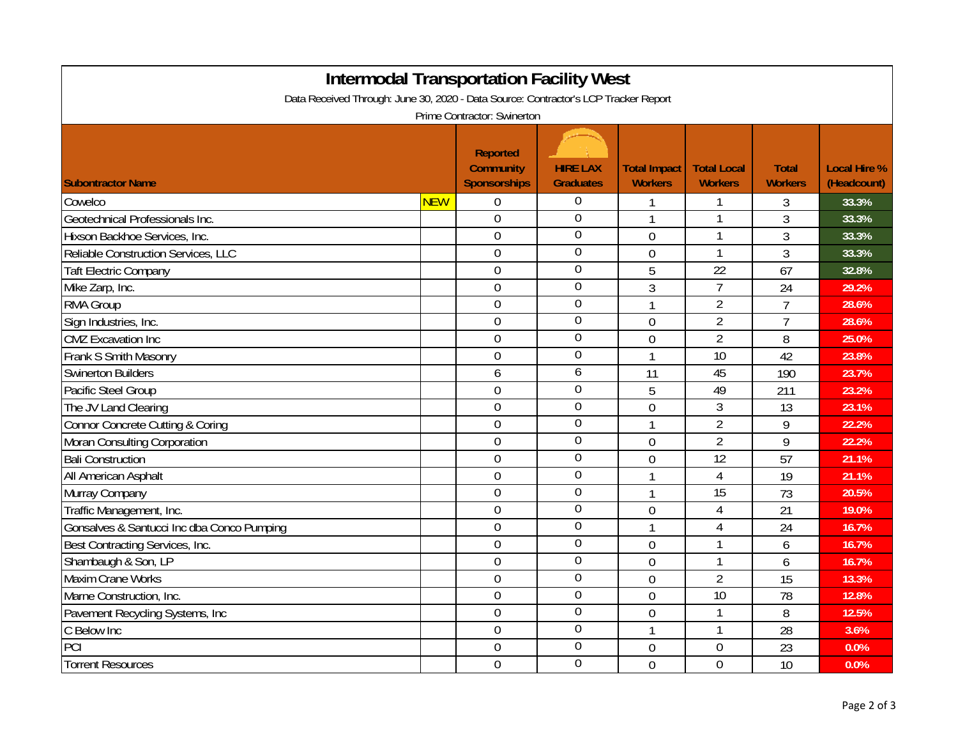|                                                                                     | <b>Intermodal Transportation Facility West</b> |                                                     |                                     |                                       |                                      |                                |                                    |  |
|-------------------------------------------------------------------------------------|------------------------------------------------|-----------------------------------------------------|-------------------------------------|---------------------------------------|--------------------------------------|--------------------------------|------------------------------------|--|
| Data Received Through: June 30, 2020 - Data Source: Contractor's LCP Tracker Report |                                                |                                                     |                                     |                                       |                                      |                                |                                    |  |
| Prime Contractor: Swinerton                                                         |                                                |                                                     |                                     |                                       |                                      |                                |                                    |  |
| <b>Subontractor Name</b>                                                            |                                                | <b>Reported</b><br><b>Community</b><br>Sponsorships | <b>HIRE LAX</b><br><b>Graduates</b> | <b>Total Impact</b><br><b>Workers</b> | <b>Total Local</b><br><b>Workers</b> | <b>Total</b><br><b>Workers</b> | <b>Local Hire %</b><br>(Headcount) |  |
| Cowelco                                                                             | <b>NEW</b>                                     | $\boldsymbol{0}$                                    | 0                                   |                                       |                                      | 3                              | 33.3%                              |  |
| Geotechnical Professionals Inc.                                                     |                                                | $\boldsymbol{0}$                                    | $\boldsymbol{0}$                    | 1                                     | 1                                    | 3                              | 33.3%                              |  |
| Hixson Backhoe Services, Inc.                                                       |                                                | $\boldsymbol{0}$                                    | $\overline{0}$                      | $\overline{0}$                        | $\mathbf{1}$                         | 3                              | 33.3%                              |  |
| Reliable Construction Services, LLC                                                 |                                                | $\boldsymbol{0}$                                    | $\overline{0}$                      | 0                                     | $\mathbf{1}$                         | 3                              | 33.3%                              |  |
| <b>Taft Electric Company</b>                                                        |                                                | $\mathbf 0$                                         | $\overline{0}$                      | 5                                     | $\overline{22}$                      | 67                             | 32.8%                              |  |
| Mike Zarp, Inc.                                                                     |                                                | $\overline{0}$                                      | $\overline{0}$                      | 3                                     | $\overline{7}$                       | 24                             | 29.2%                              |  |
| RMA Group                                                                           |                                                | $\overline{0}$                                      | $\overline{0}$                      | $\mathbf{1}$                          | $\overline{2}$                       | $\overline{7}$                 | 28.6%                              |  |
| Sign Industries, Inc.                                                               |                                                | $\boldsymbol{0}$                                    | $\overline{0}$                      | $\overline{0}$                        | $\overline{2}$                       | $\overline{7}$                 | 28.6%                              |  |
| <b>CMZ</b> Excavation Inc                                                           |                                                | $\boldsymbol{0}$                                    | 0                                   | $\overline{0}$                        | $\overline{2}$                       | 8                              | 25.0%                              |  |
| Frank S Smith Masonry                                                               |                                                | $\boldsymbol{0}$                                    | $\mathbf 0$                         | 1                                     | 10                                   | 42                             | 23.8%                              |  |
| <b>Swinerton Builders</b>                                                           |                                                | 6                                                   | 6                                   | 11                                    | 45                                   | 190                            | 23.7%                              |  |
| Pacific Steel Group                                                                 |                                                | $\overline{0}$                                      | $\boldsymbol{0}$                    | 5                                     | 49                                   | 211                            | 23.2%                              |  |
| The JV Land Clearing                                                                |                                                | $\overline{0}$                                      | $\overline{0}$                      | $\overline{0}$                        | $\mathfrak{Z}$                       | 13                             | 23.1%                              |  |
| Connor Concrete Cutting & Coring                                                    |                                                | $\overline{0}$                                      | 0                                   | 1                                     | $\overline{2}$                       | 9                              | 22.2%                              |  |
| Moran Consulting Corporation                                                        |                                                | $\overline{0}$                                      | $\boldsymbol{0}$                    | $\overline{0}$                        | $\overline{2}$                       | 9                              | 22.2%                              |  |
| <b>Bali Construction</b>                                                            |                                                | $\boldsymbol{0}$                                    | $\overline{0}$                      | 0                                     | $\overline{12}$                      | 57                             | 21.1%                              |  |
| All American Asphalt                                                                |                                                | $\mathbf 0$                                         | $\overline{0}$                      | 1                                     | $\overline{4}$                       | 19                             | 21.1%                              |  |
| Murray Company                                                                      |                                                | $\overline{0}$                                      | $\boldsymbol{0}$                    | 1                                     | $\overline{15}$                      | 73                             | 20.5%                              |  |
| Traffic Management, Inc.                                                            |                                                | $\overline{0}$                                      | $\boldsymbol{0}$                    | $\mathbf 0$                           | 4                                    | 21                             | 19.0%                              |  |
| Gonsalves & Santucci Inc dba Conco Pumping                                          |                                                | $\overline{0}$                                      | $\boldsymbol{0}$                    | $\mathbf{1}$                          | $\overline{4}$                       | 24                             | 16.7%                              |  |
| Best Contracting Services, Inc.                                                     |                                                | $\overline{0}$                                      | $\mathbf 0$                         | $\overline{0}$                        | $\mathbf{1}$                         | 6                              | 16.7%                              |  |
| Shambaugh & Son, LP                                                                 |                                                | $\overline{0}$                                      | 0                                   | $\overline{0}$                        | $\mathbf{1}$                         | 6                              | 16.7%                              |  |
| <b>Maxim Crane Works</b>                                                            |                                                | $\mathbf 0$                                         | $\mathbf 0$                         | 0                                     | $\overline{2}$                       | 15                             | 13.3%                              |  |
| Marne Construction, Inc.                                                            |                                                | $\mathbf 0$                                         | 0                                   | 0                                     | $\overline{10}$                      | 78                             | 12.8%                              |  |
| Pavement Recycling Systems, Inc                                                     |                                                | $\overline{0}$                                      | $\overline{0}$                      | $\mathbf 0$                           | 1                                    | 8                              | 12.5%                              |  |
| C Below Inc                                                                         |                                                | $\overline{0}$                                      | $\mathbf 0$                         | 1                                     | $\mathbf{1}$                         | 28                             | 3.6%                               |  |
| PCI                                                                                 |                                                | $\boldsymbol{0}$                                    | $\mathbf 0$                         | 0                                     | $\mathbf 0$                          | 23                             | 0.0%                               |  |
| <b>Torrent Resources</b>                                                            |                                                | $\overline{0}$                                      | $\mathbf 0$                         | $\overline{0}$                        | $\overline{0}$                       | 10                             | 0.0%                               |  |